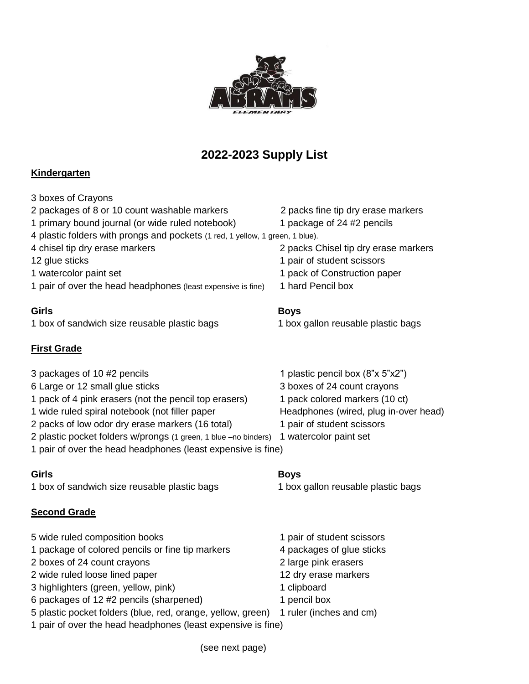

# **2022-2023 Supply List**

## **Kindergarten**

| Girls                                                                         | <b>Boys</b>                          |
|-------------------------------------------------------------------------------|--------------------------------------|
| 1 pair of over the head headphones (least expensive is fine)                  | 1 hard Pencil box                    |
| 1 watercolor paint set                                                        | 1 pack of Construction paper         |
| 12 glue sticks                                                                | 1 pair of student scissors           |
| 4 chisel tip dry erase markers                                                | 2 packs Chisel tip dry erase markers |
| 4 plastic folders with prongs and pockets (1 red, 1 yellow, 1 green, 1 blue). |                                      |
| 1 primary bound journal (or wide ruled notebook)                              | 1 package of 24 #2 pencils           |
| 2 packages of 8 or 10 count washable markers                                  | 2 packs fine tip dry erase markers   |
| 3 boxes of Crayons                                                            |                                      |

1 box of sandwich size reusable plastic bags 1 box gallon reusable plastic bags

### **First Grade**

| 3 packages of 10 #2 pencils                                                            | 1 plastic pencil box (8"x 5"x2")      |
|----------------------------------------------------------------------------------------|---------------------------------------|
| 6 Large or 12 small glue sticks                                                        | 3 boxes of 24 count crayons           |
| 1 pack of 4 pink erasers (not the pencil top erasers)                                  | 1 pack colored markers (10 ct)        |
| 1 wide ruled spiral notebook (not filler paper                                         | Headphones (wired, plug in-over head) |
| 2 packs of low odor dry erase markers (16 total)                                       | 1 pair of student scissors            |
| 2 plastic pocket folders w/prongs (1 green, 1 blue -no binders) 1 watercolor paint set |                                       |
| 1 pair of over the head headphones (least expensive is fine)                           |                                       |

#### **Girls Boys**

1 box of sandwich size reusable plastic bags 1 box gallon reusable plastic bags

#### **Second Grade**

| 5 wide ruled composition books                                                      | 1 pair of student scissors |
|-------------------------------------------------------------------------------------|----------------------------|
| 1 package of colored pencils or fine tip markers                                    | 4 packages of glue sticks  |
| 2 boxes of 24 count crayons                                                         | 2 large pink erasers       |
| 2 wide ruled loose lined paper                                                      | 12 dry erase markers       |
| 3 highlighters (green, yellow, pink)                                                | 1 clipboard                |
| 6 packages of 12 #2 pencils (sharpened)                                             | 1 pencil box               |
| 5 plastic pocket folders (blue, red, orange, yellow, green) 1 ruler (inches and cm) |                            |
| 1 pair of over the head headphones (least expensive is fine)                        |                            |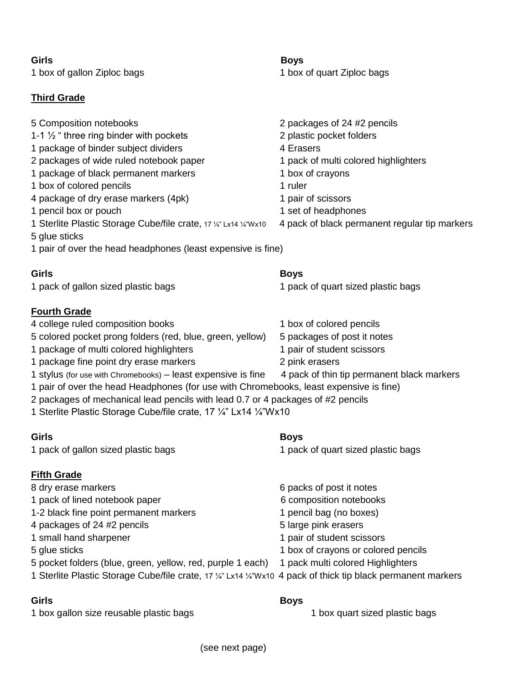#### **Girls Boys**

1 box of gallon Ziploc bags 1 box of quart Ziploc bags

### **Third Grade**

| <u>11111 a craac</u>                                                                                                                                                                                                                                                                                                                                                                                                                                                                                                           |                                                                                                                                                                                                                                           |
|--------------------------------------------------------------------------------------------------------------------------------------------------------------------------------------------------------------------------------------------------------------------------------------------------------------------------------------------------------------------------------------------------------------------------------------------------------------------------------------------------------------------------------|-------------------------------------------------------------------------------------------------------------------------------------------------------------------------------------------------------------------------------------------|
| 5 Composition notebooks<br>1-1 $\frac{1}{2}$ " three ring binder with pockets<br>1 package of binder subject dividers<br>2 packages of wide ruled notebook paper<br>1 package of black permanent markers<br>1 box of colored pencils<br>4 package of dry erase markers (4pk)<br>1 pencil box or pouch<br>1 Sterlite Plastic Storage Cube/file crate, 17 1/4" Lx14 1/4" Wx10<br>5 glue sticks<br>1 pair of over the head headphones (least expensive is fine)                                                                   | 2 packages of 24 #2 pencils<br>2 plastic pocket folders<br>4 Erasers<br>1 pack of multi colored highlighters<br>1 box of crayons<br>1 ruler<br>1 pair of scissors<br>1 set of headphones<br>4 pack of black permanent regular tip markers |
| Girls                                                                                                                                                                                                                                                                                                                                                                                                                                                                                                                          | <b>Boys</b>                                                                                                                                                                                                                               |
| 1 pack of gallon sized plastic bags                                                                                                                                                                                                                                                                                                                                                                                                                                                                                            | 1 pack of quart sized plastic bags                                                                                                                                                                                                        |
| <b>Fourth Grade</b><br>4 college ruled composition books<br>5 colored pocket prong folders (red, blue, green, yellow)<br>1 package of multi colored highlighters<br>1 package fine point dry erase markers<br>1 stylus (for use with Chromebooks) - least expensive is fine<br>1 pair of over the head Headphones (for use with Chromebooks, least expensive is fine)<br>2 packages of mechanical lead pencils with lead 0.7 or 4 packages of #2 pencils<br>1 Sterlite Plastic Storage Cube/file crate, 17 1/4" Lx14 1/4" Wx10 | 1 box of colored pencils<br>5 packages of post it notes<br>1 pair of student scissors<br>2 pink erasers<br>4 pack of thin tip permanent black markers                                                                                     |
| Girls                                                                                                                                                                                                                                                                                                                                                                                                                                                                                                                          | <b>Boys</b>                                                                                                                                                                                                                               |
| 1 pack of gallon sized plastic bags                                                                                                                                                                                                                                                                                                                                                                                                                                                                                            | 1 pack of quart sized plastic bags                                                                                                                                                                                                        |
| <b>Fifth Grade</b><br>8 dry erase markers<br>1 pack of lined notebook paper<br>1-2 black fine point permanent markers<br>4 packages of 24 #2 pencils<br>1 small hand sharpener<br>5 glue sticks<br>5 pocket folders (blue, green, yellow, red, purple 1 each)<br>1 Sterlite Plastic Storage Cube/file crate, 17 1/4" Lx14 1/4" Wx10 4 pack of thick tip black permanent markers                                                                                                                                                | 6 packs of post it notes<br>6 composition notebooks<br>1 pencil bag (no boxes)<br>5 large pink erasers<br>1 pair of student scissors<br>1 box of crayons or colored pencils<br>1 pack multi colored Highlighters                          |
| Girls                                                                                                                                                                                                                                                                                                                                                                                                                                                                                                                          | <b>Boys</b>                                                                                                                                                                                                                               |

1 box gallon size reusable plastic bags 1 box quart sized plastic bags